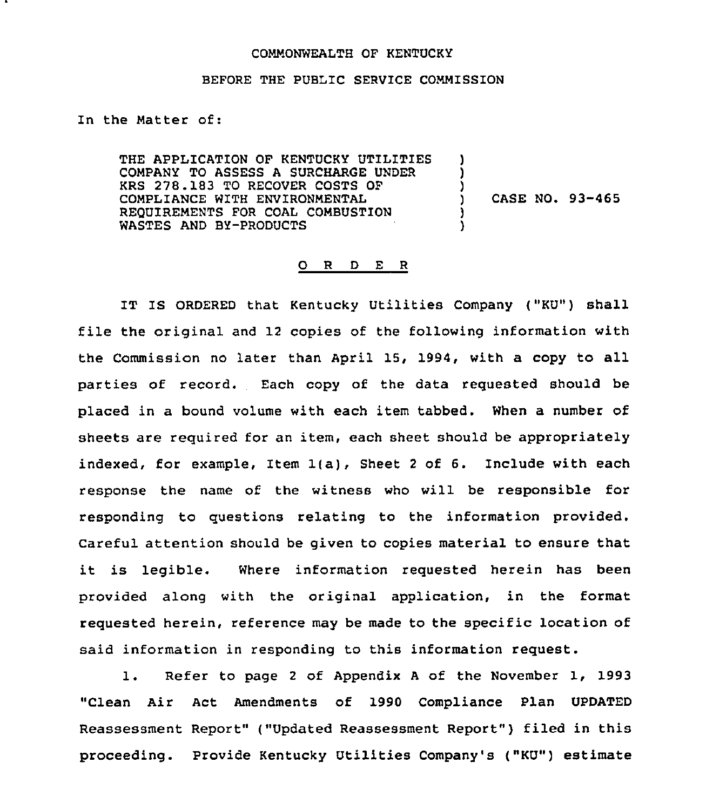## COMMONWEALTH OF KENTUCKY

## BEFORE THE PUBLIC SERVICE COMMISSION

In the Matter of:

THE APPLICATION OF KENTUCKY UTILITIES COMPANY TO ASSESS A SURCHARGE UNDER KRS 278.183 TO RECOVER COSTS OF COMPLIANCE WITH ENVIRONMENTAL REQUIREMENTS FOR COAL COMBUSTION WASTES AND BY-PRODUCTS

) CASE NO. 93-465

) )

)

) )

## 0 R <sup>D</sup> E <sup>R</sup>

IT IS ORDERED that Kentucky Utilities Company ("KU") shall file the original and <sup>12</sup> copies of the following information with the Commission no later than April 15, 1994, with a copy to all parties of record. Each copy of the data requested should be placed in a bound volume with each item tabbed. When a number of sheets are required for an item, each sheet should be appropriately indexed, for example, Item 1(a), Sheet <sup>2</sup> of 6. Include with each response the name of the witness who will be responsible for responding to questions relating to the information provided. Careful attention should be given to copies material to ensure that it is legible. Where information requested herein has been provided along with the original application, in the format requested herein, reference may be made to the specific location of said information in responding to this information request.

1. Refer to page <sup>2</sup> of Appendix <sup>A</sup> of the November 1, 1993 "Clean Air Act Amendments of 1990 Compliance Plan UPDATED Reassessment Report" ("Updated Reassessment Report" ) filed in this proceeding. Provide Kentucky Utilities Company's ("KU") estimate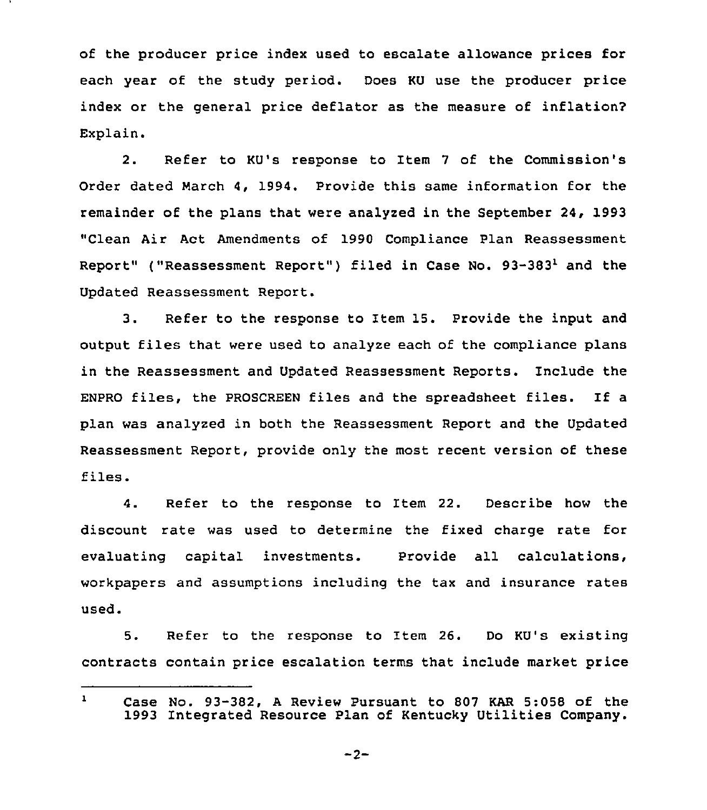of the producer price index used to escalate allowance prices for each year of the study period. Does KU use the producer price index or the general price deflator as the measure of inflation? Explain.

2. Refer to KU's response to Item <sup>7</sup> of the Commission's Order dated March 4, 1994. Provide this same information for the remainder of the plans that were analyzed in the September 24, 1993 "Clean Air Act Amendments of 1990 Compliance Plan Reassessment Report" ("Reassessment Report") filed in Case No. 93-383<sup>1</sup> and the Updated Reassessment Report.

3. Refer to the response to Item 15. Provide the input and output files that were used to analyze each of the compliance plans in the Reassessment and Updated Reassessment Reports. Include the ENPRO files, the PROSCREEN files and the spreadsheet files. If <sup>a</sup> plan was analyzed in both the Reassessment Report and the Updated Reassessment Report, provide only the most recent version of these files.

4. Refer to the response to Item 22. Describe how the discount rate was used to determine the fixed charge rate for evaluating capital investments. Provide all calculations, workpapers and assumptions including the tax and insurance rates Used

5. Refer to the response to Item 26. Do KU's existing contracts contain price escalation terms that include market price

 $-2-$ 

 $\mathbf{1}$ Case No. 93-382, <sup>A</sup> Review Pursuant to 807 KAR 5:058 of the 1993 Integrated Resource Plan of Kentucky Utilities Company.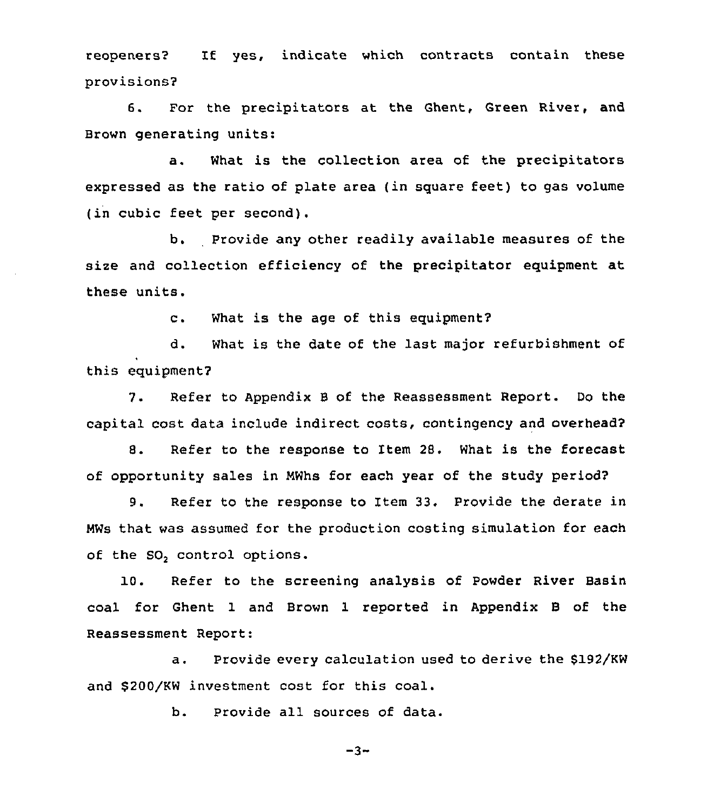reopeners2 If yes, indicate which contracts contain these provisions2

6. For the precipitators at the Ghent, Green River, and Brown generating units:

a. What is the collection area of the precipitators expressed as the ratio of plate area (in square feet) to gas volume (in cubic feet per second).

b. Provide any other readily available measures of the size and collection efficiency of the precipitator equipment at these units.

c. What is the age of this equipment2

d. What is the date of the last major refurbishment of this equipment2

7. Refer to Appendix <sup>B</sup> of the Reassessment Report. Do the capital cost data include indirect costs, contingency and overhead?

8. Refer to the response to Item 28. What is the forecast of opportunity sales in NWhs for each year of the study period?

9. Refer to the response to Item 33. Provide the derate in MWs that was assumed for the production costing simulation for each of the SO<sub>2</sub> control options.

10. Refer to the screening analysis of Powder River Basin coal for Ghent 1 and Brown 1 reported in Appendix B of the Reassessment Report:

a. Provide every calculation used to derive the \$192/KW and \$200/KW investment cost for this coal.

b. Provide all sources of data.

 $-3-$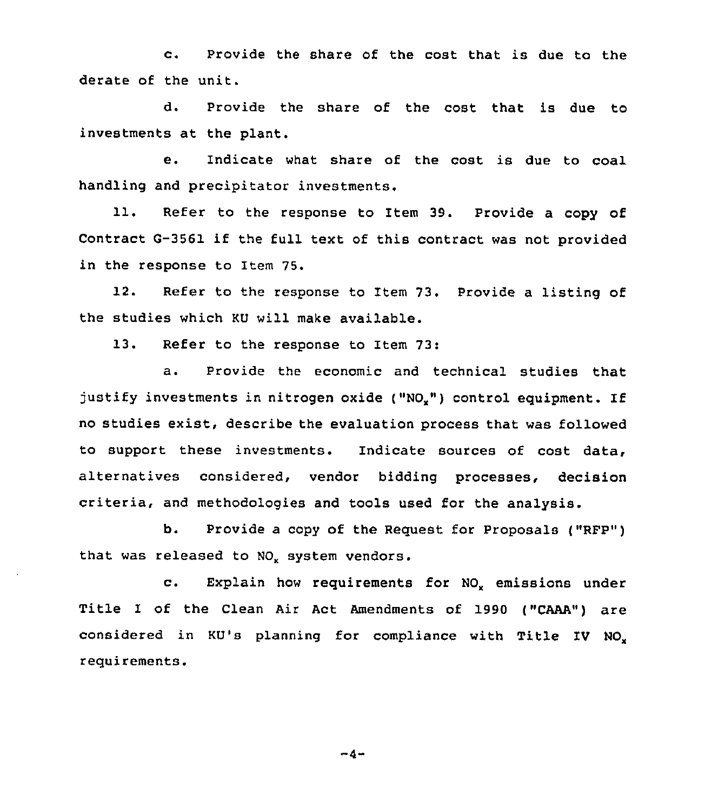c. Provide the share of the cost that is due to the derate of the unit.

d. Provide the share of the cost that is due to investments at the plant.

e. Indicate what share of the cost is due to coal handling and precipitator investments.

11. Refer to the response to Item 39. Provide a copy of Contract G-3561 if the full text of this contract was not provided in the response to Item 75.

12. Refer to the response to Item 73. Provide a listing of the studies which KU will make available.

13. Refer to the response to Item 73:

a. Provide the economic and technical studies that justify investments in nitrogen oxide ("NO<sub>x</sub>") control equipment. If no studies exist, describe the evaluation process that was followed to support these investments. Indicate sources of cost data, alternatives considered, vendor bidding processes, decision criteria, and methodologies and tools used for the analysis.

b. Provide a copy of the Request for Proposals ("RFP") that was released to NO<sub>v</sub> system vendors.

c. Explain how requirements for NO<sub>x</sub> emissions under Title I of the Clean Air Act Amendments of 1990 ("CAAA") are considered in KU's planning for compliance with Title IV NO. requirements.

 $-4-$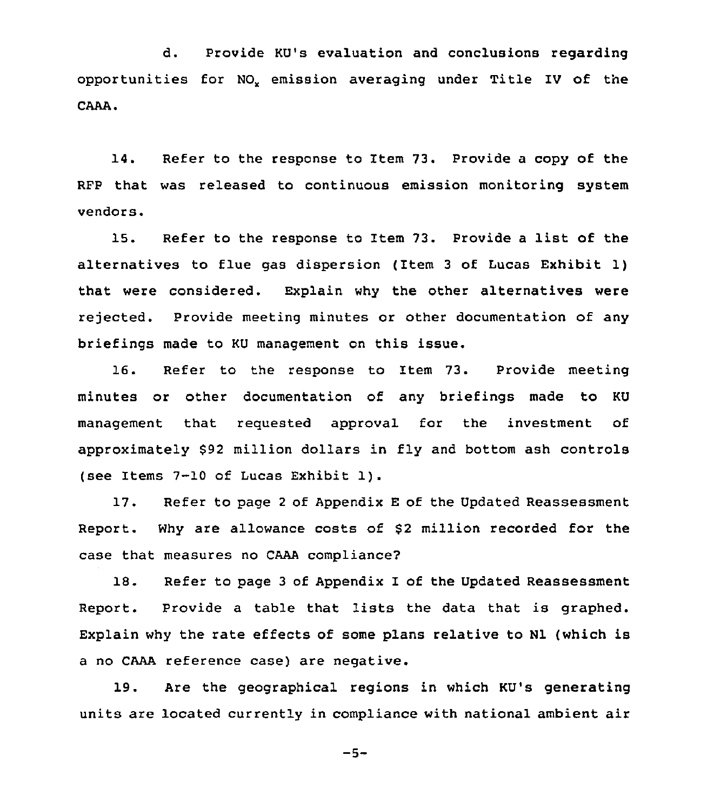d. Provide KU's evaluation and conclusions regarding opportunities for NO<sub>v</sub> emission averaging under Title IV of the CAAA.

14. Refer to the response to Item 73. Provide a copy of the RFP that was released to continuous emission monitoring system vendors.

15. Refer to the response to Item 73. Provide <sup>a</sup> list of the alternatives to flue gas dispersion {Item <sup>3</sup> of Lucas Exhibit 1) that were considered. Explain why the other alternatives were rejected. Provide meeting minutes or other documentation of any briefings made to KU management on this issue.

16. Refer to the response to Item 73. Provide meeting minutes or other documentation of any briefings made to KU management that requested approval for the investment of approximately \$92 million dollars in fly and bottom ash controls (see Items 7-10 of Lucas Exhibit 1}.

17. Refer to page <sup>2</sup> of Appendix <sup>E</sup> of the Updated Reassessment Report. Why are allowance costs of \$2 million recorded for the case that measures no CAAA compliance?

18. Refer to page <sup>3</sup> of Appendix I of the Updated Reassessment Report. Provide <sup>a</sup> table that lists the data that is graphed. Explain why the rate effects of some plans relative to Nl (which is a no CAAA reference case) are negative.

19. Are the geographical regions in which KU's generating units are located currently in compliance with national ambient air

 $-5-$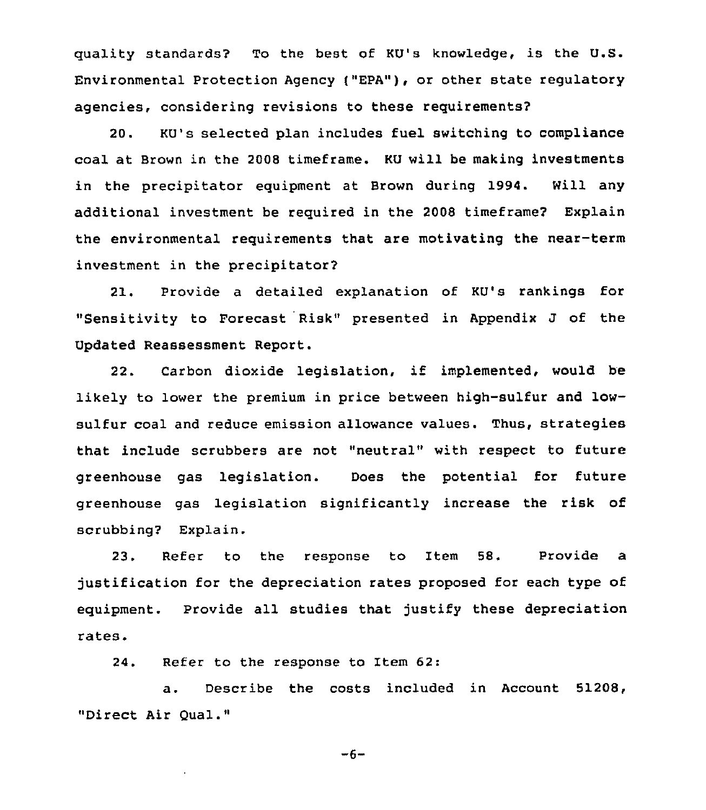quality standards? To the best of KU's knowledge, is the U.S. Environmental Protection Agency f"EPA"), or other state regulatory agencies, considering revisions to these requirements?

20. KU's selected plan includes fuel switching to compliance coal at Brown in the 2008 timeframe. KU will be making investments in the precipitator equipment at Brown during 1994. Will any additional investment be required in the 2008 timeframe? Explain the environmental requirements that are motivating the near-term investment in the precipitator?

21. Provide a detailed explanation of KU's rankings for "Sensitivity to Forecast Risk" presented in Appendix J of the Updated Reassessment Report.

22. Carbon dioxide legislation, if implemented, would be likely to lower the premium in price between high-sulfur and lowsulfur coal and reduce emission allowance values. Thus, strategies that include scrubbers are not "neutral" with respect to future greenhouse gas legislation. Does the potential for future greenhouse gas legislation significantly increase the risk of scrubbing? Explain.

23. Refer to the response to Item 58. Provide a justification for the depreciation rates proposed for each type of equipment. Provide all studies that justify these depreciation rates.

24. Refer to the response to Item 62:

a. Describe the costs included in Account 51208, "Direct Air Qual."

 $-6-$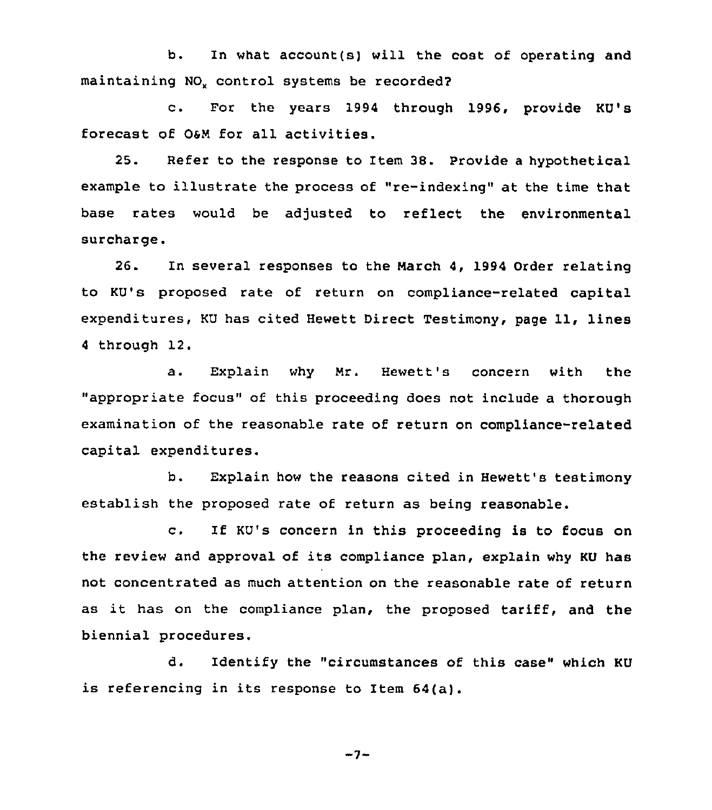b. In what account(s) will the cost of operating and maintaining NO<sub>v</sub> control systems be recorded?

c. For the years <sup>1994</sup> through 1996, provide KU's forecast of 06M for all activities.

25. Refer to the response to Item 38. provide <sup>a</sup> hypothetical example to illustrate the process of "re-indexing" at the time that base rates would be adjusted to reflect the environmental surcharge.

26. In several responses to the March 4, 1994 Order relating to KU's proposed rate of return on compliance-related capital expenditures, KU has cited Hewett Direct Testimony, page 11, lines <sup>4</sup> through 12.

a. Explain why Mr. Hewett's concern with the "appropriate focus" of this proceeding does not include a thorough examination of the reasonable rate of return on compliance-related capital expenditures.

b. Explain how the reasons cited in Hewett's testimony establish the proposed rate of return as being reasonable.

c. If KU's concern in this proceeding is to focus on the review and approval of its compliance plan, explain why KU has not concentrated as much attention on the reasonable rate of return as it has on the compliance plan, the proposed tariff, and the biennial procedures.

d. Identify the "circumstances of this case" which KU is referencing in its response to Item 64(a).

 $-7-$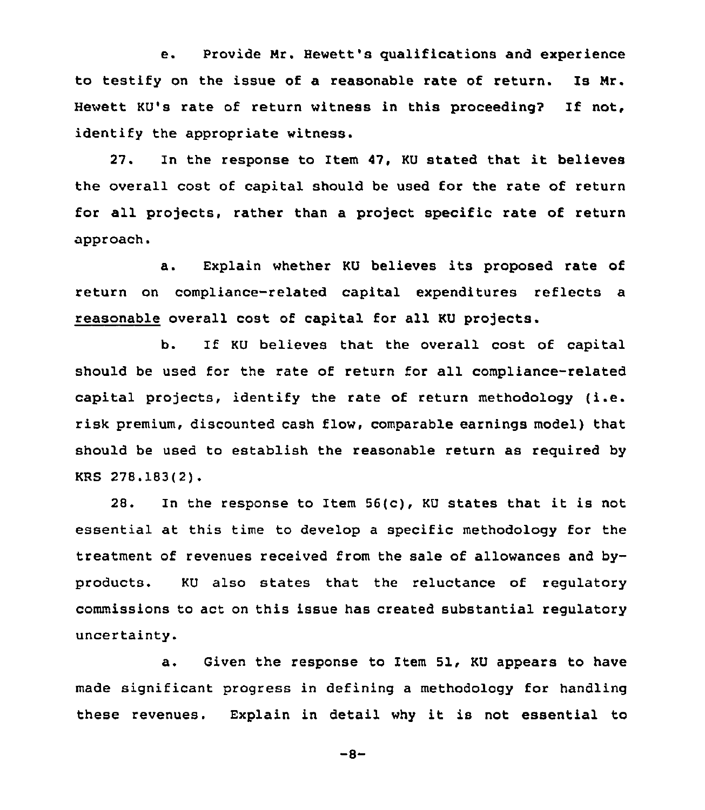e. Provide Nr. Hewett's qualifications and experience to testify on the issue of a reasonable rate of return. Is Nr. Hewett KU's rate of return witness in this proceeding? If not, identify the appropriate witness.

27. In the response to Item 47, KU stated that it believes the overall cost of capital should be used for the rate of return for all projects, rather than a project specific rate of return approach.

a. Explain whether KU believes its proposed rate of return on compliance-related capital expenditures reflects a reasonable overall cost of capital for all KU projects.

b. If KU believes that the overall cost of capital should be used for the rate of return for all compliance-related capital projects, identify the rate of return methodology (i.e. risk premium, discounted cash flow, comparable earnings model) that should be used to establish the reasonable return as required by KRS 278.183(2).

28. In the response to Item 56(c), KU states that it is not essential at this time to develop a specific methodology for the treatment of revenues received from the sale of allowances and byproducts. KU also states that the reluctance of regulatory commissions to act on this issue has created substantial regulatory uncertainty.

a. Given the response to Item 51, KU appears to have made significant progress in defining a methodology for handling these revenues. Explain in detail why it is not essential to

 $-8-$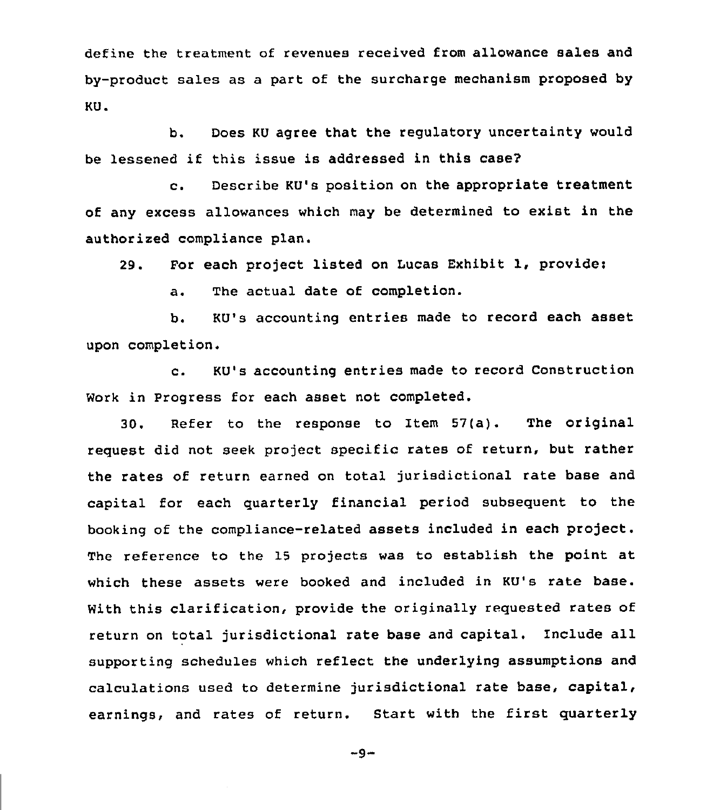define the treatment of revenues received from allowance sales and by-product sales as a part of the surcharge mechanism proposed by KU.

b. Does KU agree that the regulatory uncertainty would be lessened if this issue is addressed in this case?

c. Describe KU's position on the appropriate treatment of any excess allowances which may be determined to exist in the authorized compliance plan.

29. For each project listed on tucas Exhibit 1, provide:

a. The actual date of completion.

b. KU's accounting entries made to record each asset upon completion.

c. KU's accounting entries made to record Construction Work in Progress for each asset not completed.

30. Refer to the response to Item 57(a). The original request did not seek project specific rates of return, but rather the rates of return earned on total jurisdictional rate base and capital for each quarterly financial period subsequent to the booking of the compliance-related assets included in each project. The reference to the 15 projects was to establish the point at which these assets were booked and included in KU's rate base. With this clarification, provide the originally requested rates of return on total jurisdictional rate base and capital. Include all supporting schedules which reflect the underlying assumptions and calculations used to determine jurisdictional rate base, capital, earnings, and rates of return. Start with the first quarterly

 $-9-$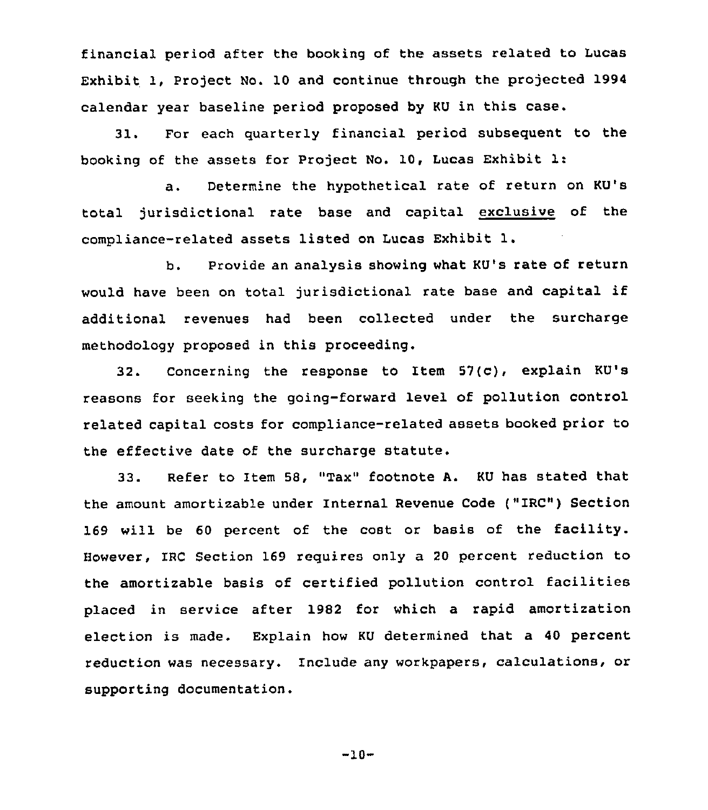financial period after the booking of the assets related to Lucas Exhibit 1, Project No. 10 and continue through the projected 1994 calendar year baseline period proposed by KU in this case.

31. For each quarterly financial period subsequent to the booking of the assets for Project No. 10, Lucas Exhibit 1:

a. Determine the hypothetical rate of return on KU's total jurisdictional rate base and capital exclusive of the compliance-related assets listed on Lucas Exhibit l.

b. Provide an analysis showing what KU's rate of return would have been on total jurisdictional rate base and capital if additional revenues had been collected under the surcharqe methodology proposed in this proceeding.

32. Concerning the response to Item 57(c), explain KU's reasons for seeking the going-forward level of pollution control related capital costs for compliance-related assets booked prior to the effective date of the surcharge statute.

33. Refer to Item 58, "Tax" footnote A. KU has stated that the amount amortizable under Internal Revenue Code ("IRC") Section 169 will be <sup>60</sup> percent of the cost or basis of the facility. However, IRC Section 169 requires only a 20 percent reduction to the amortizable basis of certified pollution control facilities placed in service after 1982 for which a rapid amortization election is made. Explain how KU determined that a 40 percent reduction was necessary. Include any workpapers, calculations, or supporting documentation.

 $-10-$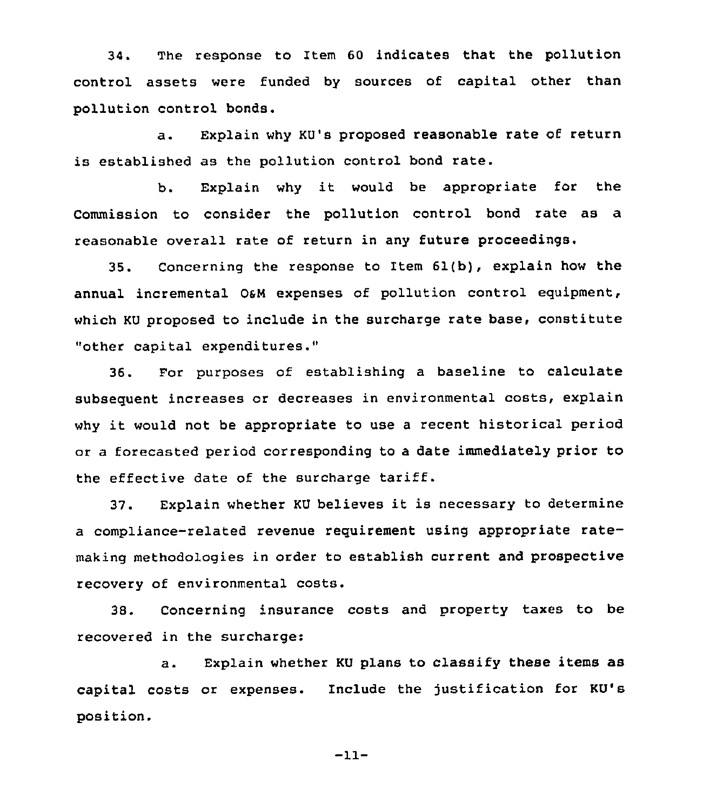34. The response to Item 60 indicates that the pollution control assets were funded by sources of capital other than pollution control bonds.

a. Explain why KU's proposed reasonable rate of return is established as the pollution control bond rate.

b. Explain why it would be appropriate for the Commission to consider the pollution control bond rate as a reasonable overall rate of return in any future proceedings.

35. Concerning the response to Item  $61(b)$ , explain how the annual incremental 0&M expenses of pollution control equipment, which KU proposed to include in the surcharge rate base, constitute "other capital expenditures."

36. Por purposes of establishing a baseline to calculate subsequent increases or decreases in environmental costs, explain why it would not be appropriate to use <sup>a</sup> recent historical period or a forecasted period corresponding to a date immediately prior to the effective date of the surcharge tariff.

37. Explain whether KU believes it is necessary to determine a compliance-related revenue requirement using appropriate ratemaking methodologies in order to establish current and prospective recovery of environmental costs.

38. Concerning insurance costs and property taxes to be recovered in the surcharge:

a. Explain whether KU plans to classify these items as capital costs or expenses. Include the justification for KU's position.

 $-11-$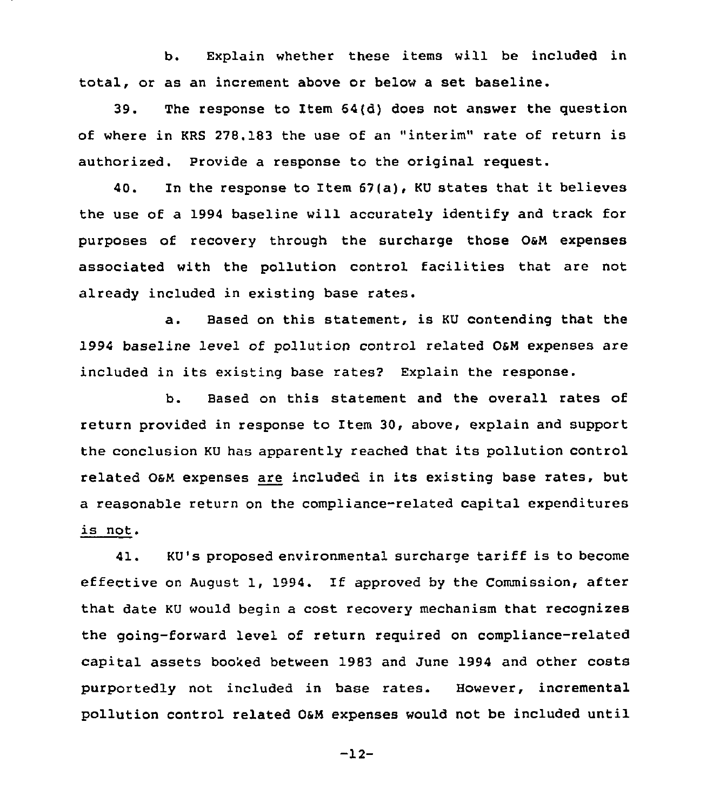b. Explain whether these items will be included in total, or as an increment above or below a set baseline.

39. The response to Item 64{d) does not answer the question of where in KRS 278.183 the use of an "interim" rate of return is authorized. Provide a response to the original request.

40. In the response to Item 67{a), KU states that it believes the use of a 1994 baseline will accurately identify and track for purposes of recovery through the surcharge those O&N expenses associated with the pollution control facilities that are not already included in existing base rates.

a. Based on this statement, is KU contending that the 1994 baseline level of pollution control related OsN expenses are included in its existing base rates2 Explain the response.

b. Based on this statement and the overall rates of return provided in response to item 30, above, explain and support the conclusion KU has apparently reached that its pollution control related OsN expenses are included in its existing base rates, but a reasonable return on the compliance-related capital expenditures is not.

41. KU's proposed environmental surcharge tariff is to become effective on August 1, 1994. If approved by the Commission, after that date KU would begin a cost recovery mechanism that recognizes the going-forward level of return reguired on compliance-related capital assets booked between 1983 and June 1994 and other costs purportedly not included in base rates. However, incremental pollution control related 04N expenses would not be included until

 $-12-$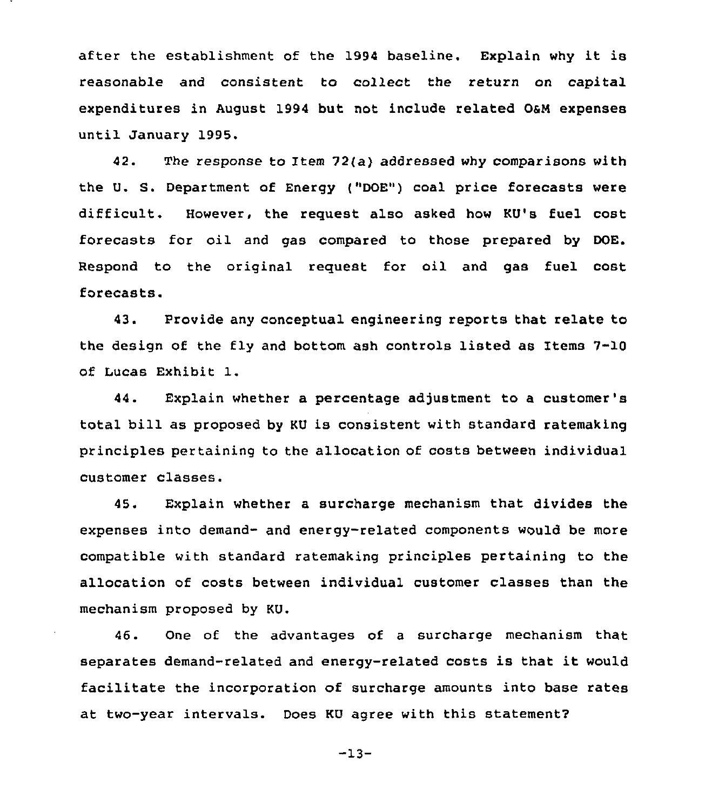after the establishment of the 1994 baseline. Explain why it is reasonable and consistent to collect the return on capital expenditures in August 1994 but not include related O&M expenses until January 1995.

42. The response to Item 72(a) addressed why comparisons with the U. S. Department of Energy {"DOE") coal price forecasts were difficult. However, the reguest also asked how KU's fuel cost forecasts for oil and gas compared to those prepared by DOE. Respond to the original reguest for oil and gas fuel cost forecasts.

43. Provide any conceptual engineering reports that relate to the design of the fly and bottom ash controls listed as Items 7-10 of Lucas Exhibit 1.

44. Explain whether a percentage adjustment to a customer' total bill as proposed by KU is consistent with standard ratemaking principles pertaining to the allocation of costs between individual customer classes.

45. Explain whether a surcharge mechanism that divides the expenses into demand- and energy-related components would be more compatible with standard ratemaking principles pertaining to the allocation of costs between individual customer classes than the mechanism proposed by KU.

46. One of the advantages of a surcharge mechanism that separates demand-related and energy-related costs is that it would facilitate the incorporation of surcharge amounts into base rates at two-year intervals. Does KU agree with this statement2

-13-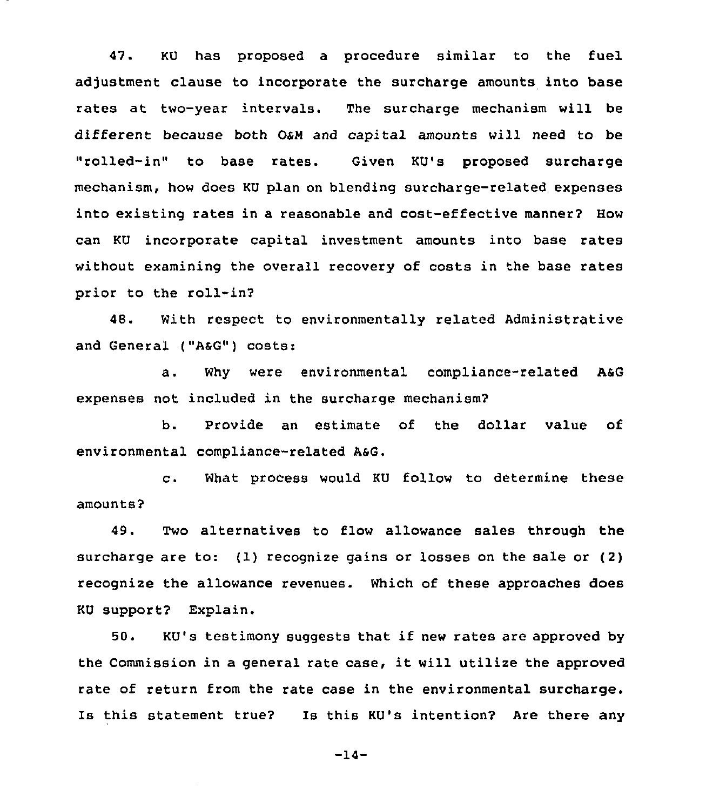47. KU has proposed a procedure similar to the fuel adjustment clause to incorporate the surcharge amounts into base rates at two-year intervals. The surcharge mechanism will be different because both OSW and capital amounts will need to be "rolled-in" to base rates. Given KU's proposed surcharge mechanism, how does KU plan on blending surcharge-related expenses into existing rates in a reasonable and cost-effective manner? How can KU incorporate capital investment amounts into base rates without examining the overall recovery of costs in the base rates prior to the roll-in?

48. With respect to environmentally related Administrative and General ("AsG") costs:

a. Why were environmental compliance-related ASG expenses not included in the surcharge mechanism?

b. Provide an estimate of the dollar value of environmental compliance-related AsG.

c. What process would KU follow to determine these amounts?

49. Two alternatives to flow allowance sales through the surcharge are to: (1) recognize gains or losses on the sale or (2) recognize the allowance revenues. Which of these approaches does KU support2 Explain.

50. KU's testimony suggests that if new rates are approved by the Commission in <sup>a</sup> general rate case, it will utilize the approved rate of return from the rate case in the environmental surcharge. Is this statement true2 Is this KU's intention? Are there any

-14-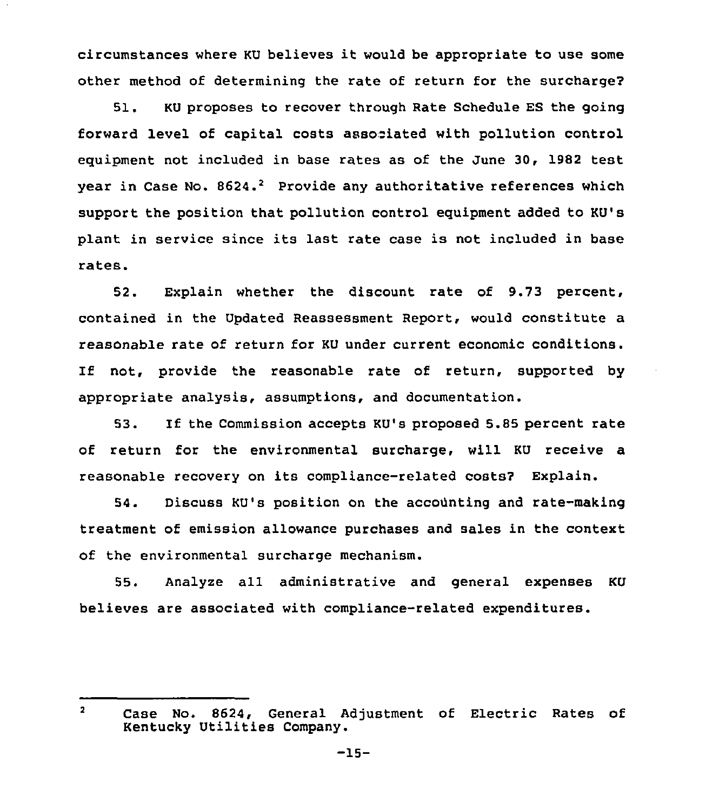circumstances where KU believes it would be appropriate to use some other method of determining the rate of return for the surcharge?

51. KU proposes to recover through Rate Schedule ES the going forward level of capital costs asso iated with pollution control equipment not included in base rates as of the June 30, 1982 test year in Case No. 8624.<sup>2</sup> Provide any authoritative references which support the position that pollution control equipment added to KU's plant in service since its last rate case is not included in base rates.

52. Explain whether the discount rate of 9.73 percent, contained in the Updated Reassessment Report, would constitute a reasonable rate of return for KU under current economic conditions. If not, provide the reasonable rate of return, supported by appropriate analysis, assumptions, and documentation.

53. If the Commission accepts KU's proposed 5.85 percent rate of return for the environmental surcharge, will KU receive a reasonable recovery on its compliance-related costs? Explain.

54. Discuss KU's position on the accounting and rate-making treatment of emission allowance purchases and sales in the context of the environmental surcharge mechanism.

55. Analyze all administrative and general expenses KU believes are associated with compliance-related expenditures.

 $\overline{2}$ Case No. 8624, General Adjustment of Electric Rates of Kentucky Utilities Company.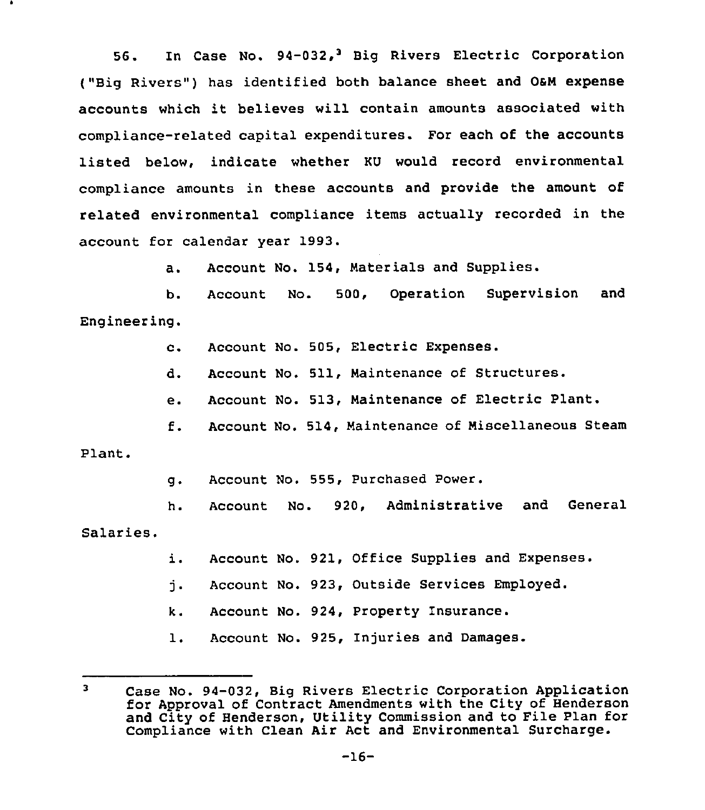56. In Case No. 94-032,<sup>3</sup> Big Rivers Electric Corporation ("Big Rivers") has identified both balance sheet and O&M expense accounts which it believes will contain amounts associated with compliance-related capital expenditures. For each of the accounts listed below, indicate whether KU would record environmental compliance amounts in these accounts and provide the amount of related environmental compliance items actually recorded in the account for calendar year 1993.

> Account No. 154, Materials and Supplies.  $a<sub>1</sub>$

b. Account No. 500, Operation Supervision and Engineering.

c. Account No. 505, Electric Expenses.

Account No. 511, Maintenance of Structures. d.

e. Account No. 513, Maintenance of Electric Plant.

f. Account No. 514, Maintenance of Miscellaneous Steam

Plant.

g. Account No. 555, Purchased Power.

h. Account No. 920, Administrative and General Salaries.

i. Account No. 921, Office Supplies and Expenses.

j. Account No. 923, Outside Services Employed.

k. Account No. 924, Property Insurance.

l. Account No. 925, Injuries and Damages.

 $\mathbf{r}$ Case No. 94-032, Big Rivers Electric Corporation Application for Approval of Contract Amendments with the City of Henderson and City of Henderson, Utility Commission and to Pile Plan for Compliance with Clean Air Act and Environmental Surcharge.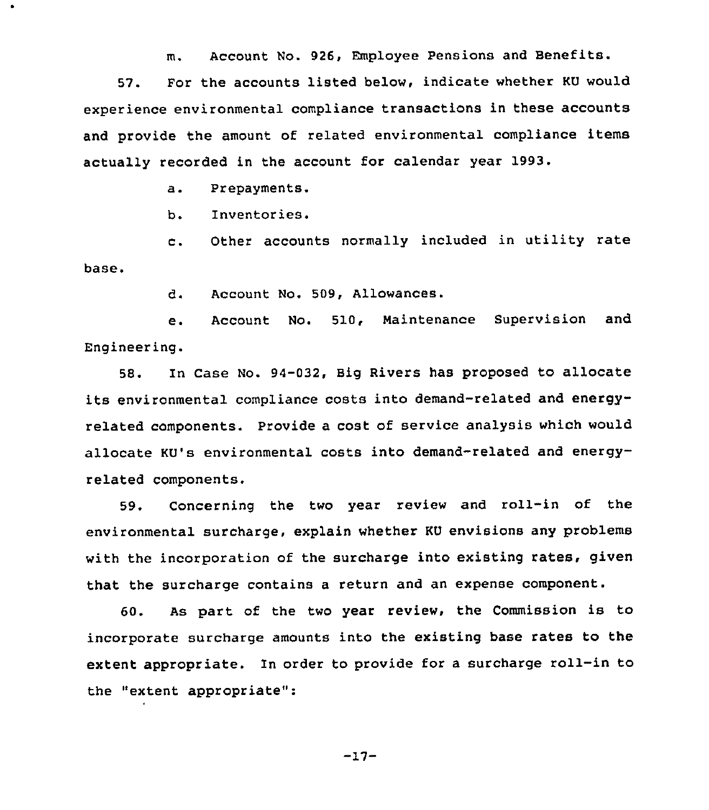m. Account No. 926, Employee Pensions and Benefits.

57. For the accounts listed below, indicate whether KU would experience environmental compliance transactions in these accounts and provide the amount of related environmental compliance items actually recorded in the account for calendar year 1993.

a. Prepayments.

 $\bullet$ 

b. Inventories.

c. Other accounts normally included in utility rate base.

d. Account No. 509, Allowances.

e. Account No. 510, Maintenance Supervision and Engineering.

58. In Case No. 94-032, Big Rivers has proposed to allocate its environmental compliance costs into demand-related and energyrelated components. Provide a cost of service analysis which would allocate KU's environmental costs into demand-related and energyrelated components.

59. Concerning the two year review and roll-in of the environmental surcharge, explain whether KU envisions any problems with the incorporation of the surcharge into existing rates, given that the surcharge contains a return and an expense component.

60. As part of the two year review, the Commission is to incorporate surcharge amounts into the existing base rates to the extent appropriate. In order to provide for <sup>a</sup> surcharge roll-in to the "extent appropriate":

 $-17-$